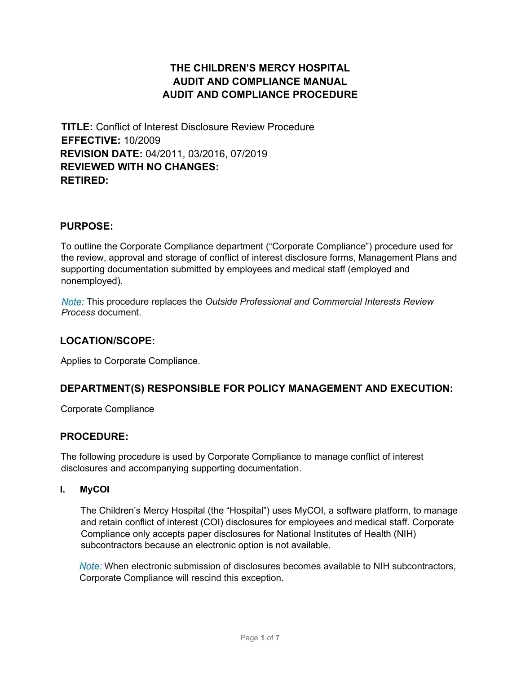# THE CHILDREN'S MERCY HOSPITAL AUDIT AND COMPLIANCE MANUAL AUDIT AND COMPLIANCE PROCEDURE

TITLE: Conflict of Interest Disclosure Review Procedure EFFECTIVE: 10/2009 REVISION DATE: 04/2011, 03/2016, 07/2019 REVIEWED WITH NO CHANGES: RETIRED:

## PURPOSE:

To outline the Corporate Compliance department ("Corporate Compliance") procedure used for the review, approval and storage of conflict of interest disclosure forms, Management Plans and supporting documentation submitted by employees and medical staff (employed and nonemployed).

Note: This procedure replaces the Outside Professional and Commercial Interests Review Process document.

## LOCATION/SCOPE:

Applies to Corporate Compliance.

## DEPARTMENT(S) RESPONSIBLE FOR POLICY MANAGEMENT AND EXECUTION:

Corporate Compliance

## PROCEDURE:

The following procedure is used by Corporate Compliance to manage conflict of interest disclosures and accompanying supporting documentation.

### I. MyCOI

The Children's Mercy Hospital (the "Hospital") uses MyCOI, a software platform, to manage and retain conflict of interest (COI) disclosures for employees and medical staff. Corporate Compliance only accepts paper disclosures for National Institutes of Health (NIH) subcontractors because an electronic option is not available.

Note: When electronic submission of disclosures becomes available to NIH subcontractors, Corporate Compliance will rescind this exception.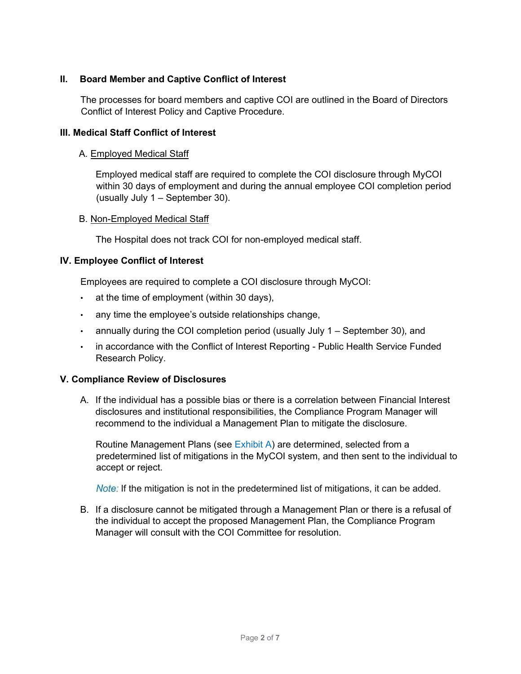## II. Board Member and Captive Conflict of Interest

The processes for board members and captive COI are outlined in the Board of Directors Conflict of Interest Policy and Captive Procedure.

### III. Medical Staff Conflict of Interest

### A. Employed Medical Staff

Employed medical staff are required to complete the COI disclosure through MyCOI within 30 days of employment and during the annual employee COI completion period (usually July 1 – September 30).

#### B. Non-Employed Medical Staff

The Hospital does not track COI for non-employed medical staff.

### IV. Employee Conflict of Interest

Employees are required to complete a COI disclosure through MyCOI:

- at the time of employment (within 30 days),
- any time the employee's outside relationships change,
- annually during the COI completion period (usually July  $1 -$  September 30), and
- in accordance with the Conflict of Interest Reporting Public Health Service Funded Research Policy.

### V. Compliance Review of Disclosures

A. If the individual has a possible bias or there is a correlation between Financial Interest disclosures and institutional responsibilities, the Compliance Program Manager will recommend to the individual a Management Plan to mitigate the disclosure.

Routine Management Plans (see Exhibit A) are determined, selected from a predetermined list of mitigations in the MyCOI system, and then sent to the individual to accept or reject.

*Note:* If the mitigation is not in the predetermined list of mitigations, it can be added.

B. If a disclosure cannot be mitigated through a Management Plan or there is a refusal of the individual to accept the proposed Management Plan, the Compliance Program Manager will consult with the COI Committee for resolution.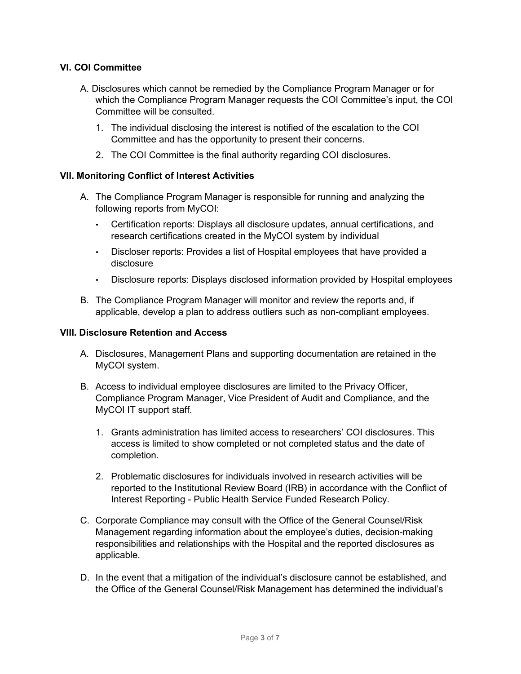### VI. COI Committee

- A. Disclosures which cannot be remedied by the Compliance Program Manager or for which the Compliance Program Manager requests the COI Committee's input, the COI Committee will be consulted.
	- 1. The individual disclosing the interest is notified of the escalation to the COI Committee and has the opportunity to present their concerns.
	- 2. The COI Committee is the final authority regarding COI disclosures.

#### VII. Monitoring Conflict of Interest Activities

- A. The Compliance Program Manager is responsible for running and analyzing the following reports from MyCOI:
	- Certification reports: Displays all disclosure updates, annual certifications, and research certifications created in the MyCOI system by individual
	- Discloser reports: Provides a list of Hospital employees that have provided a disclosure
	- Disclosure reports: Displays disclosed information provided by Hospital employees
- B. The Compliance Program Manager will monitor and review the reports and, if applicable, develop a plan to address outliers such as non-compliant employees.

#### VIII. Disclosure Retention and Access

- A. Disclosures, Management Plans and supporting documentation are retained in the MyCOI system.
- B. Access to individual employee disclosures are limited to the Privacy Officer, Compliance Program Manager, Vice President of Audit and Compliance, and the MyCOI IT support staff.
	- 1. Grants administration has limited access to researchers' COI disclosures. This access is limited to show completed or not completed status and the date of completion.
	- 2. Problematic disclosures for individuals involved in research activities will be reported to the Institutional Review Board (IRB) in accordance with the Conflict of Interest Reporting - Public Health Service Funded Research Policy.
- C. Corporate Compliance may consult with the Office of the General Counsel/Risk Management regarding information about the employee's duties, decision-making responsibilities and relationships with the Hospital and the reported disclosures as applicable.
- D. In the event that a mitigation of the individual's disclosure cannot be established, and the Office of the General Counsel/Risk Management has determined the individual's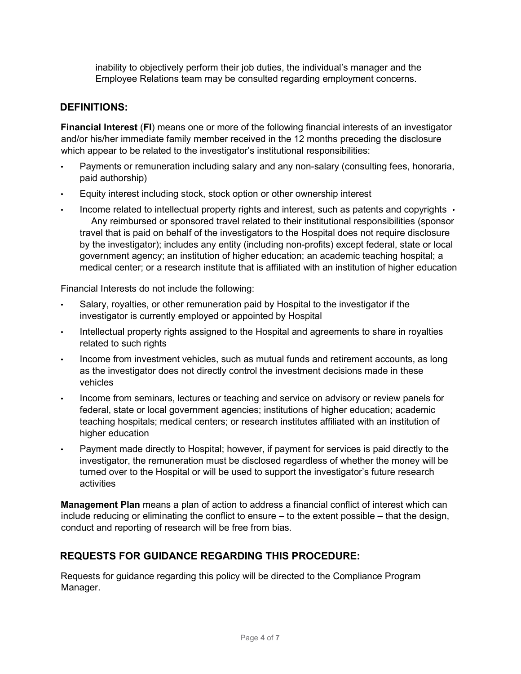inability to objectively perform their job duties, the individual's manager and the Employee Relations team may be consulted regarding employment concerns.

# DEFINITIONS:

Financial Interest (FI) means one or more of the following financial interests of an investigator and/or his/her immediate family member received in the 12 months preceding the disclosure which appear to be related to the investigator's institutional responsibilities:

- Payments or remuneration including salary and any non-salary (consulting fees, honoraria, paid authorship)
- Equity interest including stock, stock option or other ownership interest
- Income related to intellectual property rights and interest, such as patents and copyrights  $\cdot$ Any reimbursed or sponsored travel related to their institutional responsibilities (sponsor travel that is paid on behalf of the investigators to the Hospital does not require disclosure by the investigator); includes any entity (including non-profits) except federal, state or local government agency; an institution of higher education; an academic teaching hospital; a medical center; or a research institute that is affiliated with an institution of higher education

Financial Interests do not include the following:

- Salary, royalties, or other remuneration paid by Hospital to the investigator if the investigator is currently employed or appointed by Hospital
- Intellectual property rights assigned to the Hospital and agreements to share in royalties related to such rights
- Income from investment vehicles, such as mutual funds and retirement accounts, as long as the investigator does not directly control the investment decisions made in these vehicles
- Income from seminars, lectures or teaching and service on advisory or review panels for federal, state or local government agencies; institutions of higher education; academic teaching hospitals; medical centers; or research institutes affiliated with an institution of higher education
- Payment made directly to Hospital; however, if payment for services is paid directly to the investigator, the remuneration must be disclosed regardless of whether the money will be turned over to the Hospital or will be used to support the investigator's future research activities

**Management Plan** means a plan of action to address a financial conflict of interest which can include reducing or eliminating the conflict to ensure – to the extent possible – that the design, conduct and reporting of research will be free from bias.

# REQUESTS FOR GUIDANCE REGARDING THIS PROCEDURE:

Requests for guidance regarding this policy will be directed to the Compliance Program Manager.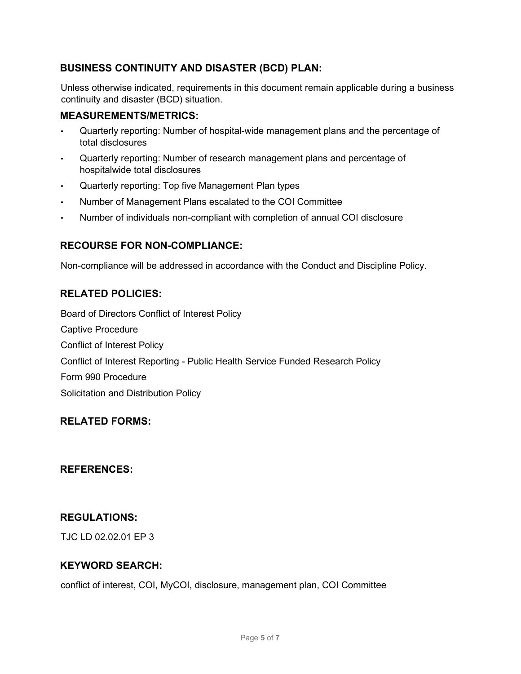# BUSINESS CONTINUITY AND DISASTER (BCD) PLAN:

Unless otherwise indicated, requirements in this document remain applicable during a business continuity and disaster (BCD) situation.

## MEASUREMENTS/METRICS:

- Quarterly reporting: Number of hospital-wide management plans and the percentage of total disclosures
- Quarterly reporting: Number of research management plans and percentage of hospitalwide total disclosures
- Quarterly reporting: Top five Management Plan types
- Number of Management Plans escalated to the COI Committee
- Number of individuals non-compliant with completion of annual COI disclosure

## RECOURSE FOR NON-COMPLIANCE:

Non-compliance will be addressed in accordance with the Conduct and Discipline Policy.

## RELATED POLICIES:

Board of Directors Conflict of Interest Policy Captive Procedure Conflict of Interest Policy Conflict of Interest Reporting - Public Health Service Funded Research Policy Form 990 Procedure Solicitation and Distribution Policy

## RELATED FORMS:

## REFERENCES:

## REGULATIONS:

TJC LD 02.02.01 EP 3

## KEYWORD SEARCH:

conflict of interest, COI, MyCOI, disclosure, management plan, COI Committee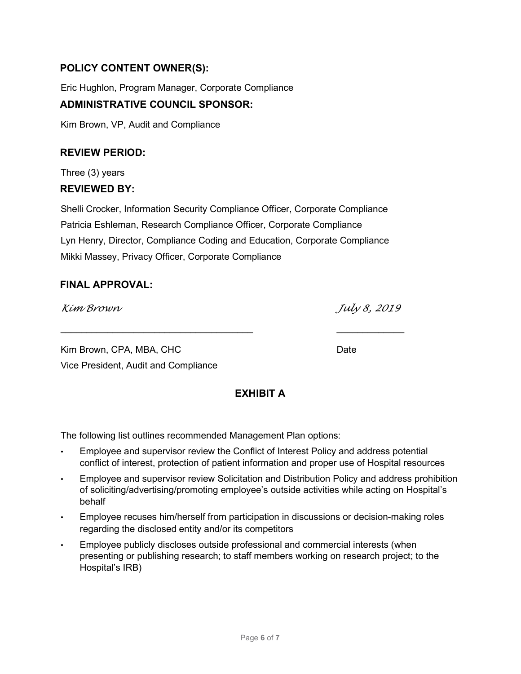# POLICY CONTENT OWNER(S):

Eric Hughlon, Program Manager, Corporate Compliance

# ADMINISTRATIVE COUNCIL SPONSOR:

Kim Brown, VP, Audit and Compliance

## REVIEW PERIOD:

Three (3) years REVIEWED BY:

Shelli Crocker, Information Security Compliance Officer, Corporate Compliance Patricia Eshleman, Research Compliance Officer, Corporate Compliance Lyn Henry, Director, Compliance Coding and Education, Corporate Compliance Mikki Massey, Privacy Officer, Corporate Compliance

 $\mathcal{L}_\text{max} = \frac{1}{2} \sum_{i=1}^{n} \frac{1}{2} \sum_{i=1}^{n} \frac{1}{2} \sum_{i=1}^{n} \frac{1}{2} \sum_{i=1}^{n} \frac{1}{2} \sum_{i=1}^{n} \frac{1}{2} \sum_{i=1}^{n} \frac{1}{2} \sum_{i=1}^{n} \frac{1}{2} \sum_{i=1}^{n} \frac{1}{2} \sum_{i=1}^{n} \frac{1}{2} \sum_{i=1}^{n} \frac{1}{2} \sum_{i=1}^{n} \frac{1}{2} \sum_{i=1}^{n} \frac{1$ 

## FINAL APPROVAL:

Kim Brown July 8, 2019

Kim Brown, CPA, MBA, CHC DATE: Date Date Vice President, Audit and Compliance

# EXHIBIT A

The following list outlines recommended Management Plan options:

- Employee and supervisor review the Conflict of Interest Policy and address potential conflict of interest, protection of patient information and proper use of Hospital resources
- Employee and supervisor review Solicitation and Distribution Policy and address prohibition of soliciting/advertising/promoting employee's outside activities while acting on Hospital's behalf
- Employee recuses him/herself from participation in discussions or decision-making roles regarding the disclosed entity and/or its competitors
- Employee publicly discloses outside professional and commercial interests (when presenting or publishing research; to staff members working on research project; to the Hospital's IRB)